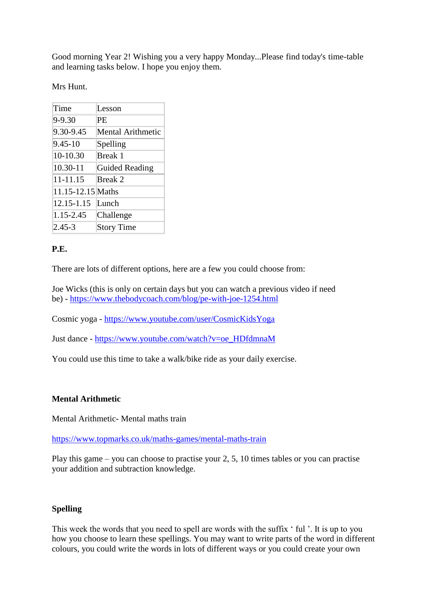Good morning Year 2! Wishing you a very happy Monday...Please find today's time-table and learning tasks below. I hope you enjoy them.

Mrs Hunt.

| Time              | Lesson                   |
|-------------------|--------------------------|
| 9-9.30            | PE                       |
| 9.30-9.45         | <b>Mental Arithmetic</b> |
| $9.45 - 10$       | Spelling                 |
| 10-10.30          | Break 1                  |
| 10.30-11          | Guided Reading           |
| 11-11.15          | Break 2                  |
| 11.15-12.15 Maths |                          |
| 12.15-1.15        | Lunch                    |
| 1.15-2.45         | Challenge                |
| $2.45 - 3$        | <b>Story Time</b>        |

# **P.E.**

There are lots of different options, here are a few you could choose from:

Joe Wicks (this is only on certain days but you can watch a previous video if need be) - <https://www.thebodycoach.com/blog/pe-with-joe-1254.html>

Cosmic yoga - <https://www.youtube.com/user/CosmicKidsYoga>

Just dance - [https://www.youtube.com/watch?v=oe\\_HDfdmnaM](https://www.youtube.com/watch?v=oe_HDfdmnaM) 

You could use this time to take a walk/bike ride as your daily exercise.

# **Mental Arithmetic**

Mental Arithmetic- Mental maths train

<https://www.topmarks.co.uk/maths-games/mental-maths-train>

Play this game – you can choose to practise your 2, 5, 10 times tables or you can practise your addition and subtraction knowledge.

# **Spelling**

This week the words that you need to spell are words with the suffix ' ful '. It is up to you how you choose to learn these spellings. You may want to write parts of the word in different colours, you could write the words in lots of different ways or you could create your own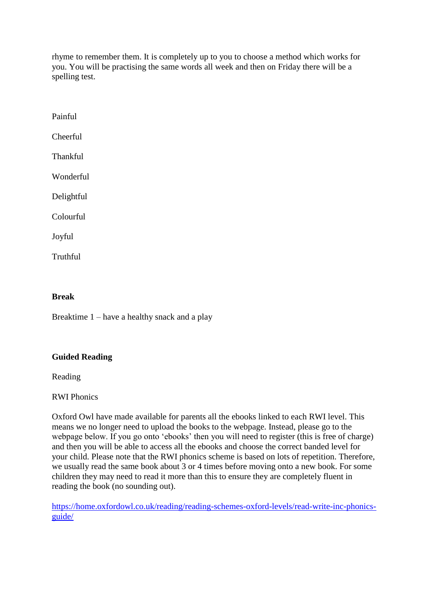rhyme to remember them. It is completely up to you to choose a method which works for you. You will be practising the same words all week and then on Friday there will be a spelling test.

Painful Cheerful Thankful Wonderful Delightful Colourful Joyful **Truthful** 

# **Break**

Breaktime 1 – have a healthy snack and a play

## **Guided Reading**

Reading

RWI Phonics

Oxford Owl have made available for parents all the ebooks linked to each RWI level. This means we no longer need to upload the books to the webpage. Instead, please go to the webpage below. If you go onto 'ebooks' then you will need to register (this is free of charge) and then you will be able to access all the ebooks and choose the correct banded level for your child. Please note that the RWI phonics scheme is based on lots of repetition. Therefore, we usually read the same book about 3 or 4 times before moving onto a new book. For some children they may need to read it more than this to ensure they are completely fluent in reading the book (no sounding out).

[https://home.oxfordowl.co.uk/reading/reading-schemes-oxford-levels/read-write-inc-phonics](https://home.oxfordowl.co.uk/reading/reading-schemes-oxford-levels/read-write-inc-phonics-guide/#_blank)[guide/](https://home.oxfordowl.co.uk/reading/reading-schemes-oxford-levels/read-write-inc-phonics-guide/#_blank)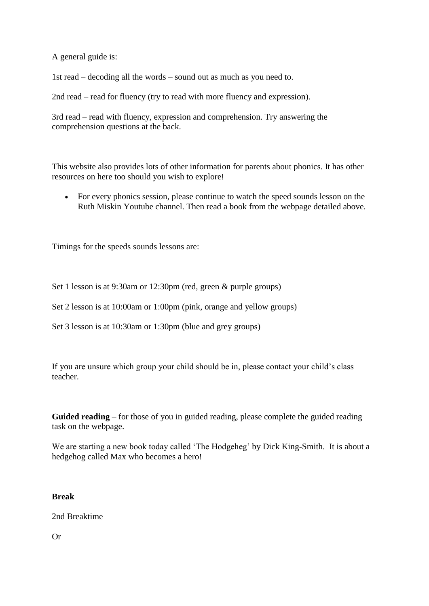A general guide is:

1st read – decoding all the words – sound out as much as you need to.

2nd read – read for fluency (try to read with more fluency and expression).

3rd read – read with fluency, expression and comprehension. Try answering the comprehension questions at the back.

This website also provides lots of other information for parents about phonics. It has other resources on here too should you wish to explore!

 For every phonics session, please continue to watch the speed sounds lesson on the Ruth Miskin Youtube channel. Then read a book from the webpage detailed above.

Timings for the speeds sounds lessons are:

Set 1 lesson is at 9:30am or 12:30pm (red, green & purple groups)

Set 2 lesson is at 10:00am or 1:00pm (pink, orange and yellow groups)

Set 3 lesson is at 10:30am or 1:30pm (blue and grey groups)

If you are unsure which group your child should be in, please contact your child's class teacher.

**Guided reading** – for those of you in guided reading, please complete the guided reading task on the webpage.

We are starting a new book today called 'The Hodgeheg' by Dick King-Smith. It is about a hedgehog called Max who becomes a hero!

## **Break**

2nd Breaktime

Or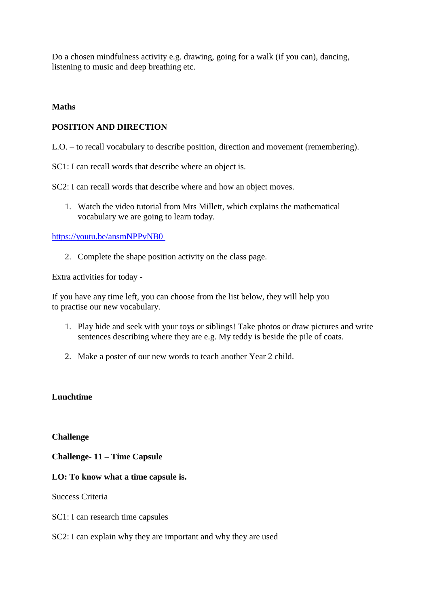Do a chosen mindfulness activity e.g. drawing, going for a walk (if you can), dancing, listening to music and deep breathing etc.

## **Maths**

## **POSITION AND DIRECTION**

L.O. – to recall vocabulary to describe position, direction and movement (remembering).

SC1: I can recall words that describe where an object is.

SC2: I can recall words that describe where and how an object moves.

1. Watch the video tutorial from Mrs Millett, which explains the mathematical vocabulary we are going to learn today.

<https://youtu.be/ansmNPPvNB0>

2. Complete the shape position activity on the class page.

Extra activities for today -

If you have any time left, you can choose from the list below, they will help you to practise our new vocabulary.

- 1. Play hide and seek with your toys or siblings! Take photos or draw pictures and write sentences describing where they are e.g. My teddy is beside the pile of coats.
- 2. Make a poster of our new words to teach another Year 2 child.

# **Lunchtime**

**Challenge**

**Challenge- 11 – Time Capsule**

# **LO: To know what a time capsule is.**

Success Criteria

- SC1: I can research time capsules
- SC2: I can explain why they are important and why they are used